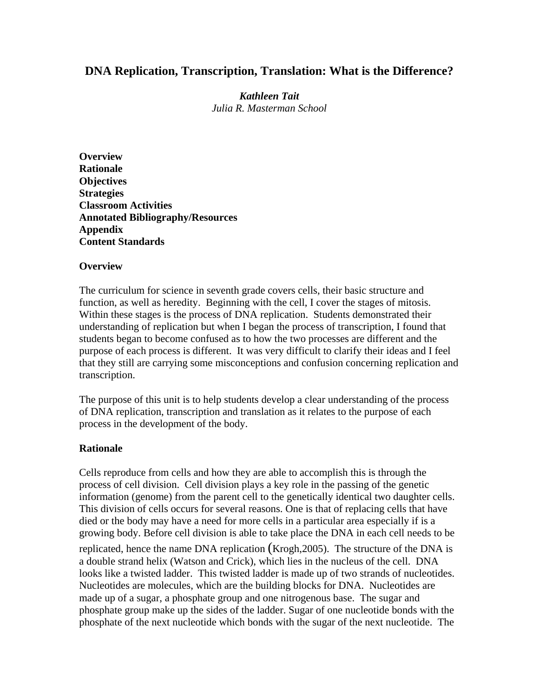# **DNA Replication, Transcription, Translation: What is the Difference?**

*Kathleen Tait Julia R. Masterman School* 

**Overview Rationale Objectives Strategies Classroom Activities Annotated Bibliography/Resources Appendix Content Standards** 

## **Overview**

The curriculum for science in seventh grade covers cells, their basic structure and function, as well as heredity. Beginning with the cell, I cover the stages of mitosis. Within these stages is the process of DNA replication. Students demonstrated their understanding of replication but when I began the process of transcription, I found that students began to become confused as to how the two processes are different and the purpose of each process is different. It was very difficult to clarify their ideas and I feel that they still are carrying some misconceptions and confusion concerning replication and transcription.

The purpose of this unit is to help students develop a clear understanding of the process of DNA replication, transcription and translation as it relates to the purpose of each process in the development of the body.

# **Rationale**

Cells reproduce from cells and how they are able to accomplish this is through the process of cell division. Cell division plays a key role in the passing of the genetic information (genome) from the parent cell to the genetically identical two daughter cells. This division of cells occurs for several reasons. One is that of replacing cells that have died or the body may have a need for more cells in a particular area especially if is a growing body. Before cell division is able to take place the DNA in each cell needs to be replicated, hence the name DNA replication (Krogh,2005). The structure of the DNA is a double strand helix (Watson and Crick), which lies in the nucleus of the cell. DNA looks like a twisted ladder. This twisted ladder is made up of two strands of nucleotides. Nucleotides are molecules, which are the building blocks for DNA. Nucleotides are made up of a sugar, a phosphate group and one nitrogenous base. The sugar and phosphate group make up the sides of the ladder. Sugar of one nucleotide bonds with the phosphate of the next nucleotide which bonds with the sugar of the next nucleotide. The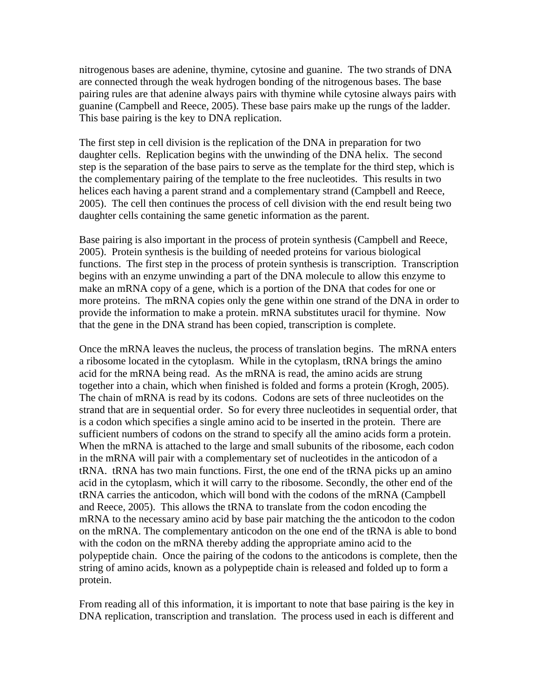nitrogenous bases are adenine, thymine, cytosine and guanine. The two strands of DNA are connected through the weak hydrogen bonding of the nitrogenous bases. The base pairing rules are that adenine always pairs with thymine while cytosine always pairs with guanine (Campbell and Reece, 2005). These base pairs make up the rungs of the ladder. This base pairing is the key to DNA replication.

The first step in cell division is the replication of the DNA in preparation for two daughter cells. Replication begins with the unwinding of the DNA helix. The second step is the separation of the base pairs to serve as the template for the third step, which is the complementary pairing of the template to the free nucleotides. This results in two helices each having a parent strand and a complementary strand (Campbell and Reece, 2005). The cell then continues the process of cell division with the end result being two daughter cells containing the same genetic information as the parent.

Base pairing is also important in the process of protein synthesis (Campbell and Reece, 2005). Protein synthesis is the building of needed proteins for various biological functions. The first step in the process of protein synthesis is transcription. Transcription begins with an enzyme unwinding a part of the DNA molecule to allow this enzyme to make an mRNA copy of a gene, which is a portion of the DNA that codes for one or more proteins. The mRNA copies only the gene within one strand of the DNA in order to provide the information to make a protein. mRNA substitutes uracil for thymine. Now that the gene in the DNA strand has been copied, transcription is complete.

Once the mRNA leaves the nucleus, the process of translation begins. The mRNA enters a ribosome located in the cytoplasm. While in the cytoplasm, tRNA brings the amino acid for the mRNA being read. As the mRNA is read, the amino acids are strung together into a chain, which when finished is folded and forms a protein (Krogh, 2005). The chain of mRNA is read by its codons. Codons are sets of three nucleotides on the strand that are in sequential order. So for every three nucleotides in sequential order, that is a codon which specifies a single amino acid to be inserted in the protein. There are sufficient numbers of codons on the strand to specify all the amino acids form a protein. When the mRNA is attached to the large and small subunits of the ribosome, each codon in the mRNA will pair with a complementary set of nucleotides in the anticodon of a tRNA. tRNA has two main functions. First, the one end of the tRNA picks up an amino acid in the cytoplasm, which it will carry to the ribosome. Secondly, the other end of the tRNA carries the anticodon, which will bond with the codons of the mRNA (Campbell and Reece, 2005). This allows the tRNA to translate from the codon encoding the mRNA to the necessary amino acid by base pair matching the the anticodon to the codon on the mRNA. The complementary anticodon on the one end of the tRNA is able to bond with the codon on the mRNA thereby adding the appropriate amino acid to the polypeptide chain. Once the pairing of the codons to the anticodons is complete, then the string of amino acids, known as a polypeptide chain is released and folded up to form a protein.

From reading all of this information, it is important to note that base pairing is the key in DNA replication, transcription and translation. The process used in each is different and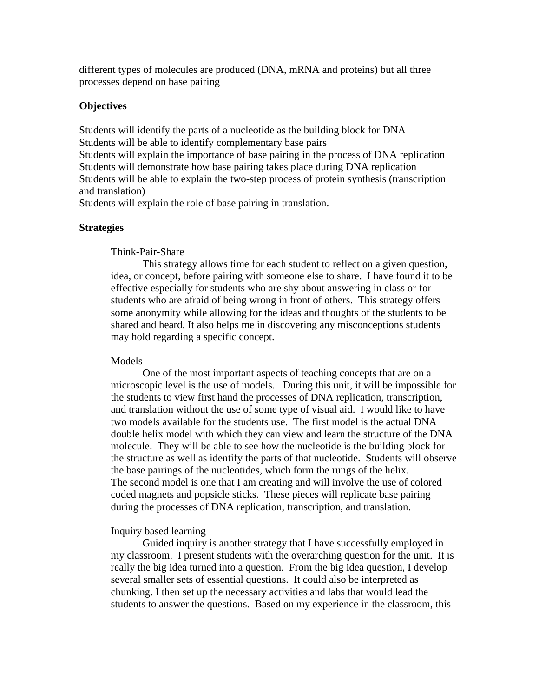different types of molecules are produced (DNA, mRNA and proteins) but all three processes depend on base pairing

## **Objectives**

Students will identify the parts of a nucleotide as the building block for DNA Students will be able to identify complementary base pairs

Students will explain the importance of base pairing in the process of DNA replication Students will demonstrate how base pairing takes place during DNA replication Students will be able to explain the two-step process of protein synthesis (transcription and translation)

Students will explain the role of base pairing in translation.

### **Strategies**

#### Think-Pair-Share

This strategy allows time for each student to reflect on a given question, idea, or concept, before pairing with someone else to share. I have found it to be effective especially for students who are shy about answering in class or for students who are afraid of being wrong in front of others. This strategy offers some anonymity while allowing for the ideas and thoughts of the students to be shared and heard. It also helps me in discovering any misconceptions students may hold regarding a specific concept.

#### Models

One of the most important aspects of teaching concepts that are on a microscopic level is the use of models. During this unit, it will be impossible for the students to view first hand the processes of DNA replication, transcription, and translation without the use of some type of visual aid. I would like to have two models available for the students use. The first model is the actual DNA double helix model with which they can view and learn the structure of the DNA molecule. They will be able to see how the nucleotide is the building block for the structure as well as identify the parts of that nucleotide. Students will observe the base pairings of the nucleotides, which form the rungs of the helix. The second model is one that I am creating and will involve the use of colored coded magnets and popsicle sticks. These pieces will replicate base pairing during the processes of DNA replication, transcription, and translation.

### Inquiry based learning

Guided inquiry is another strategy that I have successfully employed in my classroom. I present students with the overarching question for the unit. It is really the big idea turned into a question. From the big idea question, I develop several smaller sets of essential questions. It could also be interpreted as chunking. I then set up the necessary activities and labs that would lead the students to answer the questions. Based on my experience in the classroom, this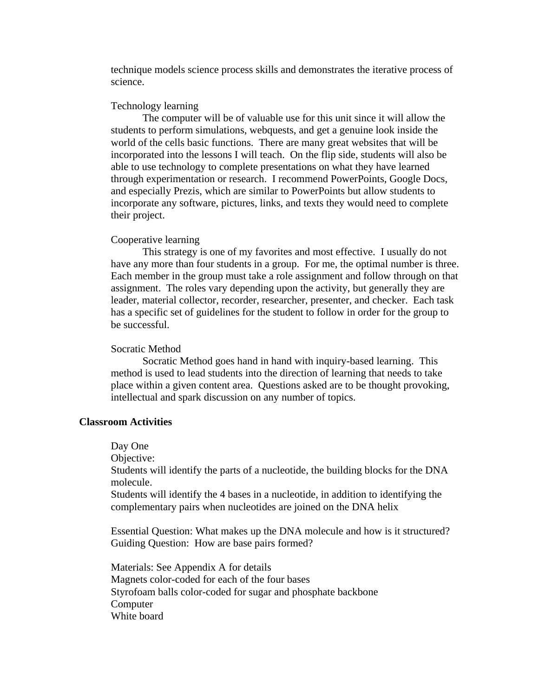technique models science process skills and demonstrates the iterative process of science.

#### Technology learning

The computer will be of valuable use for this unit since it will allow the students to perform simulations, webquests, and get a genuine look inside the world of the cells basic functions. There are many great websites that will be incorporated into the lessons I will teach. On the flip side, students will also be able to use technology to complete presentations on what they have learned through experimentation or research. I recommend PowerPoints, Google Docs, and especially Prezis, which are similar to PowerPoints but allow students to incorporate any software, pictures, links, and texts they would need to complete their project.

#### Cooperative learning

This strategy is one of my favorites and most effective. I usually do not have any more than four students in a group. For me, the optimal number is three. Each member in the group must take a role assignment and follow through on that assignment. The roles vary depending upon the activity, but generally they are leader, material collector, recorder, researcher, presenter, and checker. Each task has a specific set of guidelines for the student to follow in order for the group to be successful.

#### Socratic Method

Socratic Method goes hand in hand with inquiry-based learning. This method is used to lead students into the direction of learning that needs to take place within a given content area. Questions asked are to be thought provoking, intellectual and spark discussion on any number of topics.

### **Classroom Activities**

Day One

Objective:

Students will identify the parts of a nucleotide, the building blocks for the DNA molecule.

Students will identify the 4 bases in a nucleotide, in addition to identifying the complementary pairs when nucleotides are joined on the DNA helix

Essential Question: What makes up the DNA molecule and how is it structured? Guiding Question: How are base pairs formed?

Materials: See Appendix A for details Magnets color-coded for each of the four bases Styrofoam balls color-coded for sugar and phosphate backbone **Computer** White board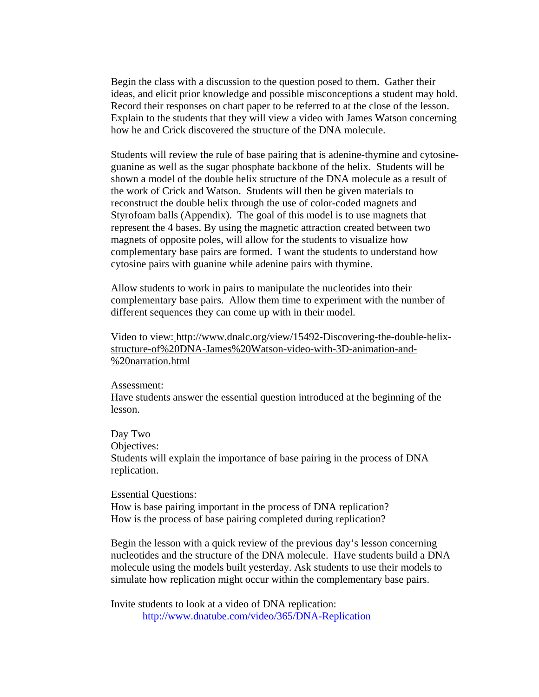Begin the class with a discussion to the question posed to them. Gather their ideas, and elicit prior knowledge and possible misconceptions a student may hold. Record their responses on chart paper to be referred to at the close of the lesson. Explain to the students that they will view a video with James Watson concerning how he and Crick discovered the structure of the DNA molecule.

Students will review the rule of base pairing that is adenine-thymine and cytosineguanine as well as the sugar phosphate backbone of the helix. Students will be shown a model of the double helix structure of the DNA molecule as a result of the work of Crick and Watson. Students will then be given materials to reconstruct the double helix through the use of color-coded magnets and Styrofoam balls (Appendix). The goal of this model is to use magnets that represent the 4 bases. By using the magnetic attraction created between two magnets of opposite poles, will allow for the students to visualize how complementary base pairs are formed. I want the students to understand how cytosine pairs with guanine while adenine pairs with thymine.

Allow students to work in pairs to manipulate the nucleotides into their complementary base pairs. Allow them time to experiment with the number of different sequences they can come up with in their model.

Video to view: [http://www.dnalc.org/view/15492-Discovering-the-double-helix](http://www.dnalc.org/view/15492-Discovering-the-double-helix-)structure-of%20DNA-James%20Watson-video-with-3D-animation-and- %20narration.html

### Assessment:

Have students answer the essential question introduced at the beginning of the lesson.

Day Two Objectives: Students will explain the importance of base pairing in the process of DNA replication.

Essential Questions: How is base pairing important in the process of DNA replication? How is the process of base pairing completed during replication?

Begin the lesson with a quick review of the previous day's lesson concerning nucleotides and the structure of the DNA molecule. Have students build a DNA molecule using the models built yesterday. Ask students to use their models to simulate how replication might occur within the complementary base pairs.

Invite students to look at a video of DNA replication: <http://www.dnatube.com/video/365/DNA-Replication>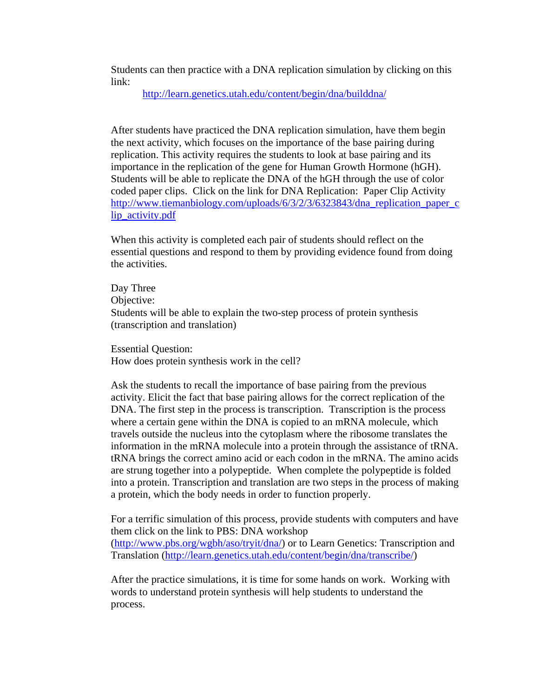Students can then practice with a DNA replication simulation by clicking on this link:

<http://learn.genetics.utah.edu/content/begin/dna/builddna/>

After students have practiced the DNA replication simulation, have them begin the next activity, which focuses on the importance of the base pairing during replication. This activity requires the students to look at base pairing and its importance in the replication of the gene for Human Growth Hormone (hGH). Students will be able to replicate the DNA of the hGH through the use of color coded paper clips. Click on the link for DNA Replication: Paper Clip Activity [http://www.tiemanbiology.com/uploads/6/3/2/3/6323843/dna\\_replication\\_paper\\_c](http://www.tiemanbiology.com/uploads/6/3/2/3/6323843/dna_replication_paper_clip_activity.pdf) [lip\\_activity.pdf](http://www.tiemanbiology.com/uploads/6/3/2/3/6323843/dna_replication_paper_clip_activity.pdf)

When this activity is completed each pair of students should reflect on the essential questions and respond to them by providing evidence found from doing the activities.

 Day Three Objective: Students will be able to explain the two-step process of protein synthesis (transcription and translation)

Essential Question: How does protein synthesis work in the cell?

Ask the students to recall the importance of base pairing from the previous activity. Elicit the fact that base pairing allows for the correct replication of the DNA. The first step in the process is transcription. Transcription is the process where a certain gene within the DNA is copied to an mRNA molecule, which travels outside the nucleus into the cytoplasm where the ribosome translates the information in the mRNA molecule into a protein through the assistance of tRNA. tRNA brings the correct amino acid or each codon in the mRNA. The amino acids are strung together into a polypeptide. When complete the polypeptide is folded into a protein. Transcription and translation are two steps in the process of making a protein, which the body needs in order to function properly.

For a terrific simulation of this process, provide students with computers and have them click on the link to PBS: DNA workshop ([http://www.pbs.org/wgbh/aso/tryit/dna/\)](http://www.pbs.org/wgbh/aso/tryit/dna/) or to Learn Genetics: Transcription and Translation ([http://learn.genetics.utah.edu/content/begin/dna/transcribe/\)](http://learn.genetics.utah.edu/content/begin/dna/transcribe/)

After the practice simulations, it is time for some hands on work. Working with words to understand protein synthesis will help students to understand the process.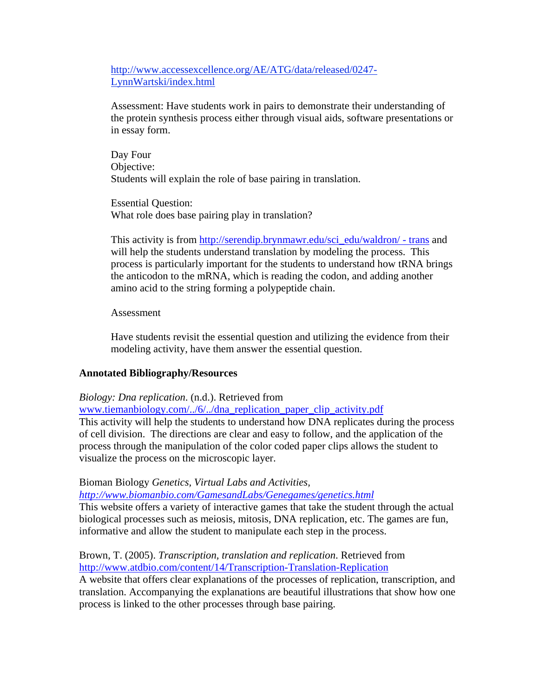[http://www.accessexcellence.org/AE/ATG/data/released/0247-](http://www.accessexcellence.org/AE/ATG/data/released/0247-LynnWartski/index.html) [LynnWartski/index.html](http://www.accessexcellence.org/AE/ATG/data/released/0247-LynnWartski/index.html)

Assessment: Have students work in pairs to demonstrate their understanding of the protein synthesis process either through visual aids, software presentations or in essay form.

Day Four Objective: Students will explain the role of base pairing in translation.

Essential Question: What role does base pairing play in translation?

This activity is from [http://serendip.brynmawr.edu/sci\\_edu/waldron/ - trans](http://serendip.brynmawr.edu/sci_edu/waldron/#trans) and will help the students understand translation by modeling the process. This process is particularly important for the students to understand how tRNA brings the anticodon to the mRNA, which is reading the codon, and adding another amino acid to the string forming a polypeptide chain.

## Assessment

Have students revisit the essential question and utilizing the evidence from their modeling activity, have them answer the essential question.

# **Annotated Bibliography/Resources**

*Biology: Dna replication*. (n.d.). Retrieved from

www.tiemanbiology.com/../6/../dna\_replication\_paper\_clip\_activity.pdf This activity will help the students to understand how DNA replicates during the process of cell division. The directions are clear and easy to follow, and the application of the process through the manipulation of the color coded paper clips allows the student to visualize the process on the microscopic layer.

# Bioman Biology *Genetics, Virtual Labs and Activities,*

*<http://www.biomanbio.com/GamesandLabs/Genegames/genetics.html>*

This website offers a variety of interactive games that take the student through the actual biological processes such as meiosis, mitosis, DNA replication, etc. The games are fun, informative and allow the student to manipulate each step in the process.

Brown, T. (2005). *Transcription, translation and replication*. Retrieved from [http://www.atdbio.com/content/14/Transcription-Translation-Replication](http://www.atdbio.com/contentent/14/Transcription-Translation-Replication) A website that offers clear explanations of the processes of replication, transcription, and

translation. Accompanying the explanations are beautiful illustrations that show how one process is linked to the other processes through base pairing.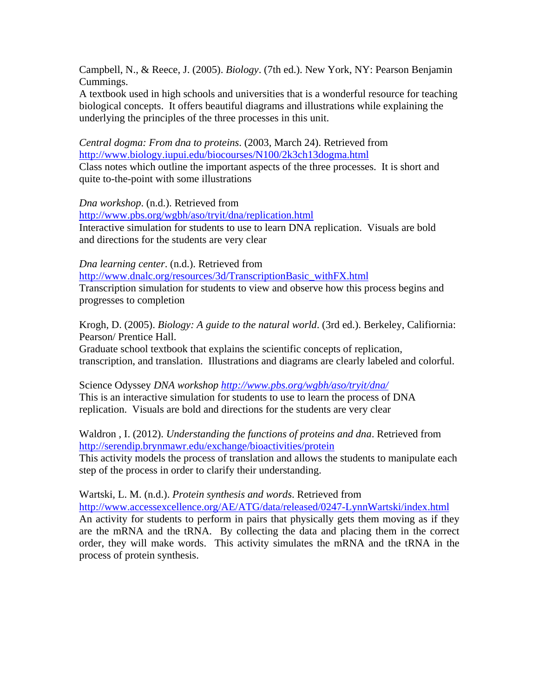Campbell, N., & Reece, J. (2005). *Biology*. (7th ed.). New York, NY: Pearson Benjamin Cummings.

A textbook used in high schools and universities that is a wonderful resource for teaching biological concepts. It offers beautiful diagrams and illustrations while explaining the underlying the principles of the three processes in this unit.

*Central dogma: From dna to proteins*. (2003, March 24). Retrieved from <http://www.biology.iupui.edu/biocourses/N100/2k3ch13dogma.html> Class notes which outline the important aspects of the three processes. It is short and quite to-the-point with some illustrations

*Dna workshop*. (n.d.). Retrieved from

<http://www.pbs.org/wgbh/aso/tryit/dna/replication.html> Interactive simulation for students to use to learn DNA replication. Visuals are bold and directions for the students are very clear

*Dna learning center*. (n.d.). Retrieved from [http://www.dnalc.org/resources/3d/TranscriptionBasic\\_withFX.html](http://www.dnalc.org/resources/3d/TranscriptionBasic_withFX.html) Transcription simulation for students to view and observe how this process begins and progresses to completion

Krogh, D. (2005). *Biology: A guide to the natural world*. (3rd ed.). Berkeley, Califiornia: Pearson/ Prentice Hall.

Graduate school textbook that explains the scientific concepts of replication, transcription, and translation. Illustrations and diagrams are clearly labeled and colorful.

Science Odyssey *DNA workshop<http://www.pbs.org/wgbh/aso/tryit/dna/>* This is an interactive simulation for students to use to learn the process of DNA replication. Visuals are bold and directions for the students are very clear

Waldron , I. (2012). *Understanding the functions of proteins and dna*. Retrieved from <http://serendip.brynmawr.edu/exchange/bioactivities/protein> This activity models the process of translation and allows the students to manipulate each step of the process in order to clarify their understanding.

Wartski, L. M. (n.d.). *Protein synthesis and words*. Retrieved from <http://www.accessexcellence.org/AE/ATG/data/released/0247-LynnWartski/index.html> An activity for students to perform in pairs that physically gets them moving as if they are the mRNA and the tRNA. By collecting the data and placing them in the correct order, they will make words. This activity simulates the mRNA and the tRNA in the process of protein synthesis.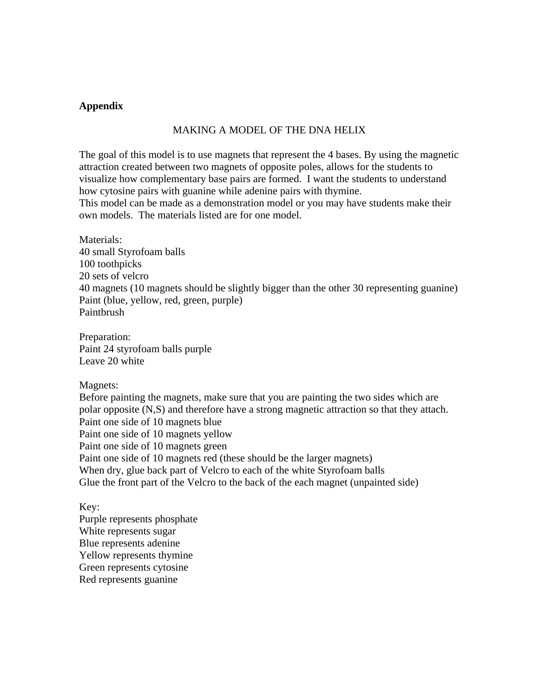## **Appendix**

## MAKING A MODEL OF THE DNA HELIX

The goal of this model is to use magnets that represent the 4 bases. By using the magnetic attraction created between two magnets of opposite poles, allows for the students to visualize how complementary base pairs are formed. I want the students to understand how cytosine pairs with guanine while adenine pairs with thymine.

This model can be made as a demonstration model or you may have students make their own models. The materials listed are for one model.

Materials: 40 small Styrofoam balls 100 toothpicks 20 sets of velcro 40 magnets (10 magnets should be slightly bigger than the other 30 representing guanine) Paint (blue, yellow, red, green, purple) Paintbrush

Preparation: Paint 24 styrofoam balls purple Leave 20 white

Magnets:

Before painting the magnets, make sure that you are painting the two sides which are polar opposite (N,S) and therefore have a strong magnetic attraction so that they attach. Paint one side of 10 magnets blue Paint one side of 10 magnets yellow Paint one side of 10 magnets green Paint one side of 10 magnets red (these should be the larger magnets) When dry, glue back part of Velcro to each of the white Styrofoam balls Glue the front part of the Velcro to the back of the each magnet (unpainted side)

Key:

Purple represents phosphate White represents sugar Blue represents adenine Yellow represents thymine Green represents cytosine Red represents guanine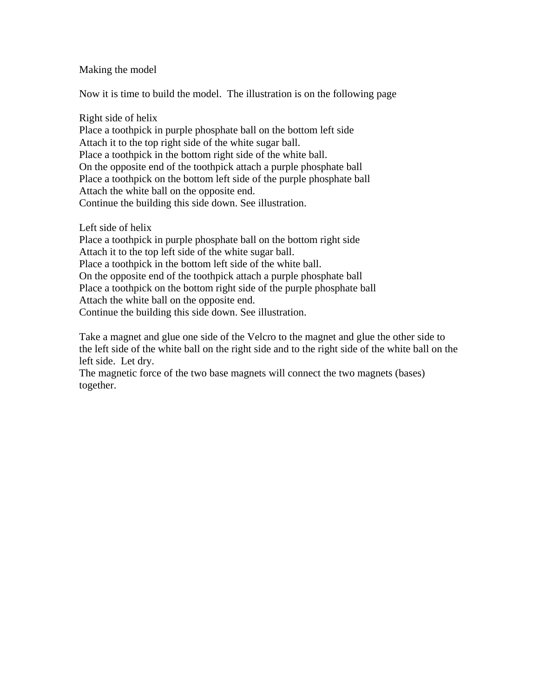## Making the model

Now it is time to build the model. The illustration is on the following page

## Right side of helix

Place a toothpick in purple phosphate ball on the bottom left side Attach it to the top right side of the white sugar ball. Place a toothpick in the bottom right side of the white ball. On the opposite end of the toothpick attach a purple phosphate ball Place a toothpick on the bottom left side of the purple phosphate ball Attach the white ball on the opposite end. Continue the building this side down. See illustration.

Left side of helix

Place a toothpick in purple phosphate ball on the bottom right side Attach it to the top left side of the white sugar ball. Place a toothpick in the bottom left side of the white ball. On the opposite end of the toothpick attach a purple phosphate ball Place a toothpick on the bottom right side of the purple phosphate ball Attach the white ball on the opposite end. Continue the building this side down. See illustration.

Take a magnet and glue one side of the Velcro to the magnet and glue the other side to the left side of the white ball on the right side and to the right side of the white ball on the left side. Let dry.

The magnetic force of the two base magnets will connect the two magnets (bases) together.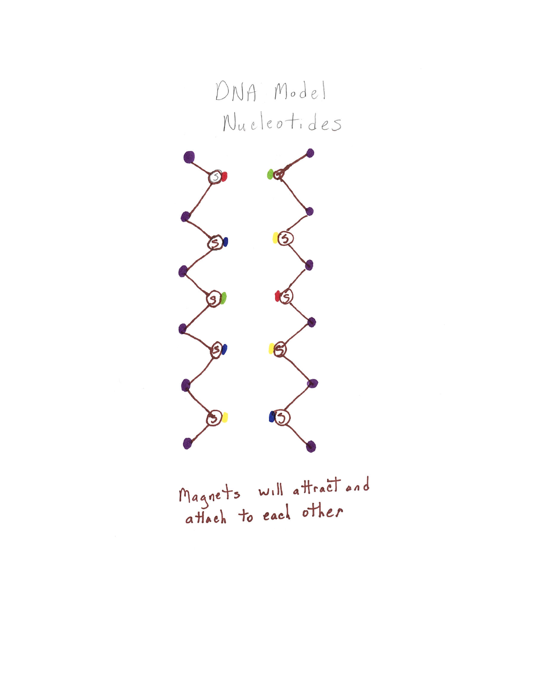



Magnets will attract and<br>attach to each other